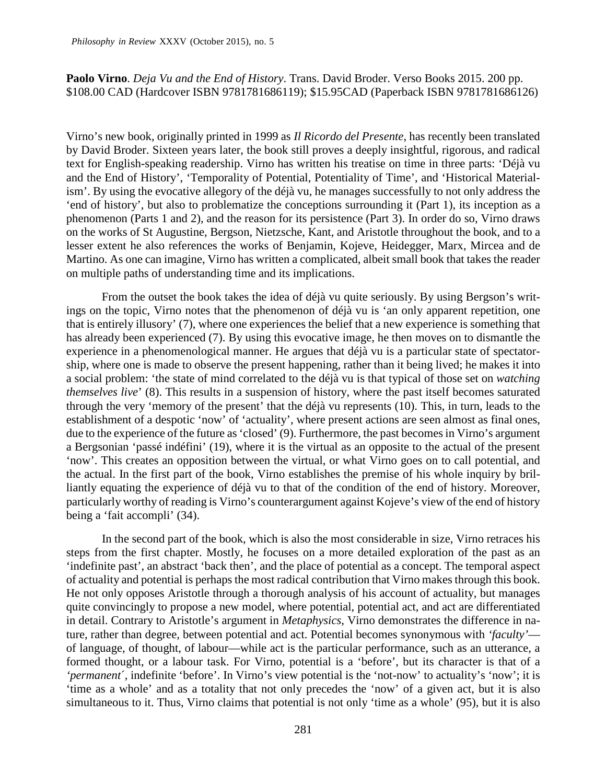## **Paolo Virno**. *Deja Vu and the End of History*. Trans. David Broder. Verso Books 2015. 200 pp. \$108.00 CAD (Hardcover ISBN 9781781686119); \$15.95CAD (Paperback ISBN 9781781686126)

Virno's new book, originally printed in 1999 as *Il Ricordo del Presente*, has recently been translated by David Broder. Sixteen years later, the book still proves a deeply insightful, rigorous, and radical text for English-speaking readership. Virno has written his treatise on time in three parts: 'Déjà vu and the End of History', 'Temporality of Potential, Potentiality of Time', and 'Historical Materialism'. By using the evocative allegory of the déjà vu, he manages successfully to not only address the 'end of history', but also to problematize the conceptions surrounding it (Part 1), its inception as a phenomenon (Parts 1 and 2), and the reason for its persistence (Part 3). In order do so, Virno draws on the works of St Augustine, Bergson, Nietzsche, Kant, and Aristotle throughout the book, and to a lesser extent he also references the works of Benjamin, Kojeve, Heidegger, Marx, Mircea and de Martino. As one can imagine, Virno has written a complicated, albeit small book that takes the reader on multiple paths of understanding time and its implications.

From the outset the book takes the idea of déjà vu quite seriously. By using Bergson's writings on the topic, Virno notes that the phenomenon of déjà vu is 'an only apparent repetition, one that is entirely illusory' (7), where one experiences the belief that a new experience is something that has already been experienced (7). By using this evocative image, he then moves on to dismantle the experience in a phenomenological manner. He argues that déjà vu is a particular state of spectatorship, where one is made to observe the present happening, rather than it being lived; he makes it into a social problem: 'the state of mind correlated to the déjà vu is that typical of those set on *watching themselves live*' (8). This results in a suspension of history, where the past itself becomes saturated through the very 'memory of the present' that the déjà vu represents (10). This, in turn, leads to the establishment of a despotic 'now' of 'actuality', where present actions are seen almost as final ones, due to the experience of the future as 'closed' (9). Furthermore, the past becomes in Virno's argument a Bergsonian 'passé indéfini' (19), where it is the virtual as an opposite to the actual of the present 'now'. This creates an opposition between the virtual, or what Virno goes on to call potential, and the actual. In the first part of the book, Virno establishes the premise of his whole inquiry by brilliantly equating the experience of déjà vu to that of the condition of the end of history. Moreover, particularly worthy of reading is Virno's counterargument against Kojeve's view of the end of history being a 'fait accompli' (34).

In the second part of the book, which is also the most considerable in size, Virno retraces his steps from the first chapter. Mostly, he focuses on a more detailed exploration of the past as an 'indefinite past', an abstract 'back then', and the place of potential as a concept. The temporal aspect of actuality and potential is perhaps the most radical contribution that Virno makes through this book. He not only opposes Aristotle through a thorough analysis of his account of actuality, but manages quite convincingly to propose a new model, where potential, potential act, and act are differentiated in detail. Contrary to Aristotle's argument in *Metaphysics*, Virno demonstrates the difference in nature, rather than degree, between potential and act. Potential becomes synonymous with *'faculty'* of language, of thought, of labour—while act is the particular performance, such as an utterance, a formed thought, or a labour task. For Virno, potential is a 'before', but its character is that of a *'permanent*´, indefinite 'before'. In Virno's view potential is the 'not-now' to actuality's 'now'; it is 'time as a whole' and as a totality that not only precedes the 'now' of a given act, but it is also simultaneous to it. Thus, Virno claims that potential is not only 'time as a whole' (95), but it is also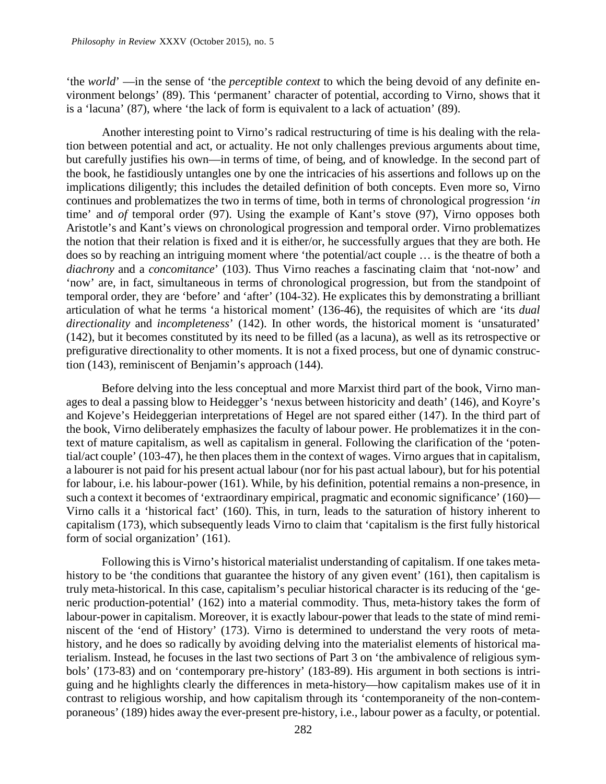'the *world*' —in the sense of 'the *perceptible context* to which the being devoid of any definite environment belongs' (89). This 'permanent' character of potential, according to Virno, shows that it is a 'lacuna' (87), where 'the lack of form is equivalent to a lack of actuation' (89).

Another interesting point to Virno's radical restructuring of time is his dealing with the relation between potential and act, or actuality. He not only challenges previous arguments about time, but carefully justifies his own—in terms of time, of being, and of knowledge. In the second part of the book, he fastidiously untangles one by one the intricacies of his assertions and follows up on the implications diligently; this includes the detailed definition of both concepts. Even more so, Virno continues and problematizes the two in terms of time, both in terms of chronological progression '*in* time' and *of* temporal order (97). Using the example of Kant's stove (97), Virno opposes both Aristotle's and Kant's views on chronological progression and temporal order. Virno problematizes the notion that their relation is fixed and it is either/or, he successfully argues that they are both. He does so by reaching an intriguing moment where 'the potential/act couple … is the theatre of both a *diachrony* and a *concomitance*' (103). Thus Virno reaches a fascinating claim that 'not-now' and 'now' are, in fact, simultaneous in terms of chronological progression, but from the standpoint of temporal order, they are 'before' and 'after' (104-32). He explicates this by demonstrating a brilliant articulation of what he terms 'a historical moment' (136-46), the requisites of which are 'its *dual directionality* and *incompleteness*' (142). In other words, the historical moment is 'unsaturated' (142), but it becomes constituted by its need to be filled (as a lacuna), as well as its retrospective or prefigurative directionality to other moments. It is not a fixed process, but one of dynamic construction (143), reminiscent of Benjamin's approach (144).

Before delving into the less conceptual and more Marxist third part of the book, Virno manages to deal a passing blow to Heidegger's 'nexus between historicity and death' (146), and Koyre's and Kojeve's Heideggerian interpretations of Hegel are not spared either (147). In the third part of the book, Virno deliberately emphasizes the faculty of labour power. He problematizes it in the context of mature capitalism, as well as capitalism in general. Following the clarification of the 'potential/act couple' (103-47), he then places them in the context of wages. Virno argues that in capitalism, a labourer is not paid for his present actual labour (nor for his past actual labour), but for his potential for labour, i.e. his labour-power (161). While, by his definition, potential remains a non-presence, in such a context it becomes of 'extraordinary empirical, pragmatic and economic significance' (160)— Virno calls it a 'historical fact' (160). This, in turn, leads to the saturation of history inherent to capitalism (173), which subsequently leads Virno to claim that 'capitalism is the first fully historical form of social organization' (161).

Following this is Virno's historical materialist understanding of capitalism. If one takes metahistory to be 'the conditions that guarantee the history of any given event' (161), then capitalism is truly meta-historical. In this case, capitalism's peculiar historical character is its reducing of the 'generic production-potential' (162) into a material commodity. Thus, meta-history takes the form of labour-power in capitalism. Moreover, it is exactly labour-power that leads to the state of mind reminiscent of the 'end of History' (173). Virno is determined to understand the very roots of metahistory, and he does so radically by avoiding delving into the materialist elements of historical materialism. Instead, he focuses in the last two sections of Part 3 on 'the ambivalence of religious symbols' (173-83) and on 'contemporary pre-history' (183-89). His argument in both sections is intriguing and he highlights clearly the differences in meta-history—how capitalism makes use of it in contrast to religious worship, and how capitalism through its 'contemporaneity of the non-contemporaneous' (189) hides away the ever-present pre-history, i.e., labour power as a faculty, or potential.